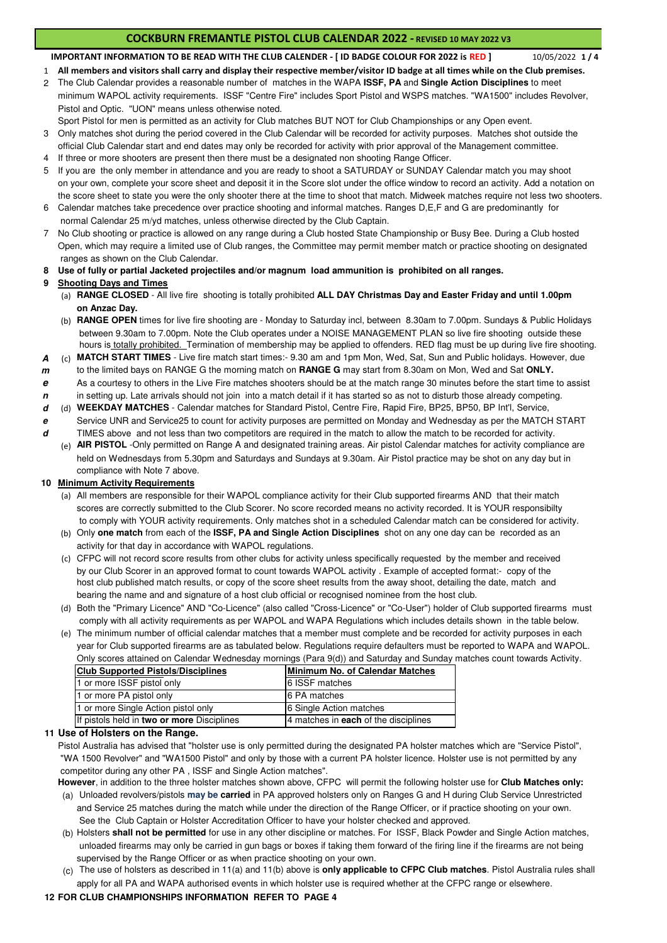# **COCKBURN FREMANTLE PISTOL CLUB CALENDAR 2022 - REVISED 10 MAY 2022 V3**

10/05/2022 **1 / 4 IMPORTANT INFORMATION TO BE READ WITH THE CLUB CALENDER - [ ID BADGE COLOUR FOR 2022 is RED ]**

- 1 **All members and visitors shall carry and display their respective member/visitor ID badge at all times while on the Club premises.**
- 2 The Club Calendar provides a reasonable number of matches in the WAPA **ISSF, PA** and **Single Action Disciplines** to meet minimum WAPOL activity requirements. ISSF "Centre Fire" includes Sport Pistol and WSPS matches. "WA1500" includes Revolver, Pistol and Optic. "UON" means unless otherwise noted.

Sport Pistol for men is permitted as an activity for Club matches BUT NOT for Club Championships or any Open event.

- 3 Only matches shot during the period covered in the Club Calendar will be recorded for activity purposes. Matches shot outside the official Club Calendar start and end dates may only be recorded for activity with prior approval of the Management committee.
- 4 If three or more shooters are present then there must be a designated non shooting Range Officer.
- 5 If you are the only member in attendance and you are ready to shoot a SATURDAY or SUNDAY Calendar match you may shoot on your own, complete your score sheet and deposit it in the Score slot under the office window to record an activity. Add a notation on the score sheet to state you were the only shooter there at the time to shoot that match. Midweek matches require not less two shooters.
- 6 Calendar matches take precedence over practice shooting and informal matches. Ranges D,E,F and G are predominantly for normal Calendar 25 m/yd matches, unless otherwise directed by the Club Captain.
- 7 No Club shooting or practice is allowed on any range during a Club hosted State Championship or Busy Bee. During a Club hosted Open, which may require a limited use of Club ranges, the Committee may permit member match or practice shooting on designated ranges as shown on the Club Calendar.
- **8 Use of fully or partial Jacketed projectiles and/or magnum load ammunition is prohibited on all ranges.**

### **9 Shooting Days and Times**

- (a) **RANGE CLOSED**  All live fire shooting is totally prohibited **ALL DAY Christmas Day and Easter Friday and until 1.00pm on Anzac Day.**
- (b) **RANGE OPEN** times for live fire shooting are Monday to Saturday incl, between 8.30am to 7.00pm. Sundays & Public Holidays between 9.30am to 7.00pm. Note the Club operates under a NOISE MANAGEMENT PLAN so live fire shooting outside these hours is totally prohibited. Termination of membership may be applied to offenders. RED flag must be up during live fire shooting.

**A** (c) **MATCH START TIMES** - Live fire match start times:- 9.30 am and 1pm Mon, Wed, Sat, Sun and Public holidays. However, due

**m** to the limited bays on RANGE G the morning match on **RANGE G** may start from 8.30am on Mon, Wed and Sat **ONLY. e** As a courtesy to others in the Live Fire matches shooters should be at the match range 30 minutes before the start time to assist

- **n** in setting up. Late arrivals should not join into a match detail if it has started so as not to disturb those already competing.
- **d** (d) **WEEKDAY MATCHES** Calendar matches for Standard Pistol, Centre Fire, Rapid Fire, BP25, BP50, BP Int'l, Service, **e** Service UNR and Service25 to count for activity purposes are permitted on Monday and Wednesday as per the MATCH START

**d** TIMES above and not less than two competitors are required in the match to allow the match to be recorded for activity. (e) **AIR PISTOL** -Only permitted on Range A and designated training areas. Air pistol Calendar matches for activity compliance are

held on Wednesdays from 5.30pm and Saturdays and Sundays at 9.30am. Air Pistol practice may be shot on any day but in compliance with Note 7 above.

### **10 Minimum Activity Requirements**

- (a) All members are responsible for their WAPOL compliance activity for their Club supported firearms AND that their match scores are correctly submitted to the Club Scorer. No score recorded means no activity recorded. It is YOUR responsibilty to comply with YOUR activity requirements. Only matches shot in a scheduled Calendar match can be considered for activity.
- (b) Only **one match** from each of the **ISSF, PA and Single Action Disciplines** shot on any one day can be recorded as an activity for that day in accordance with WAPOL regulations.
- (c) CFPC will not record score results from other clubs for activity unless specifically requested by the member and received by our Club Scorer in an approved format to count towards WAPOL activity . Example of accepted format:- copy of the host club published match results, or copy of the score sheet results from the away shoot, detailing the date, match and bearing the name and and signature of a host club official or recognised nominee from the host club.
- (d) Both the "Primary Licence" AND "Co-Licence" (also called "Cross-Licence" or "Co-User") holder of Club supported firearms must comply with all activity requirements as per WAPOL and WAPA Regulations which includes details shown in the table below.
- (e) The minimum number of official calendar matches that a member must complete and be recorded for activity purposes in each year for Club supported firearms are as tabulated below. Regulations require defaulters must be reported to WAPA and WAPOL. Only scores attained on Calendar Wednesday mornings (Para 9(d)) and Saturday and Sunday matches count towards Activity.

| <b>Club Supported Pistols/Disciplines</b>  | Minimum No. of Calendar Matches      |
|--------------------------------------------|--------------------------------------|
| 1 or more ISSF pistol only                 | 6 ISSF matches                       |
| 1 or more PA pistol only                   | 16 PA matches                        |
| 1 or more Single Action pistol only        | 6 Single Action matches              |
| If pistols held in two or more Disciplines | 4 matches in each of the disciplines |

#### **11 Use of Holsters on the Range.**

Pistol Australia has advised that "holster use is only permitted during the designated PA holster matches which are "Service Pistol", "WA 1500 Revolver" and "WA1500 Pistol" and only by those with a current PA holster licence. Holster use is not permitted by any competitor during any other PA , ISSF and Single Action matches".

**However**, in addition to the three holster matches shown above, CFPC will permit the following holster use for **Club Matches only:**

- (a) Unloaded revolvers/pistols **may be carried** in PA approved holsters only on Ranges G and H during Club Service Unrestricted and Service 25 matches during the match while under the direction of the Range Officer, or if practice shooting on your own. See the Club Captain or Holster Accreditation Officer to have your holster checked and approved.
- (b) Holsters **shall not be permitted** for use in any other discipline or matches. For ISSF, Black Powder and Single Action matches, unloaded firearms may only be carried in gun bags or boxes if taking them forward of the firing line if the firearms are not being supervised by the Range Officer or as when practice shooting on your own.
- (c) The use of holsters as described in 11(a) and 11(b) above is **only applicable to CFPC Club matches**. Pistol Australia rules shall apply for all PA and WAPA authorised events in which holster use is required whether at the CFPC range or elsewhere.

#### **12 FOR CLUB CHAMPIONSHIPS INFORMATION REFER TO PAGE 4**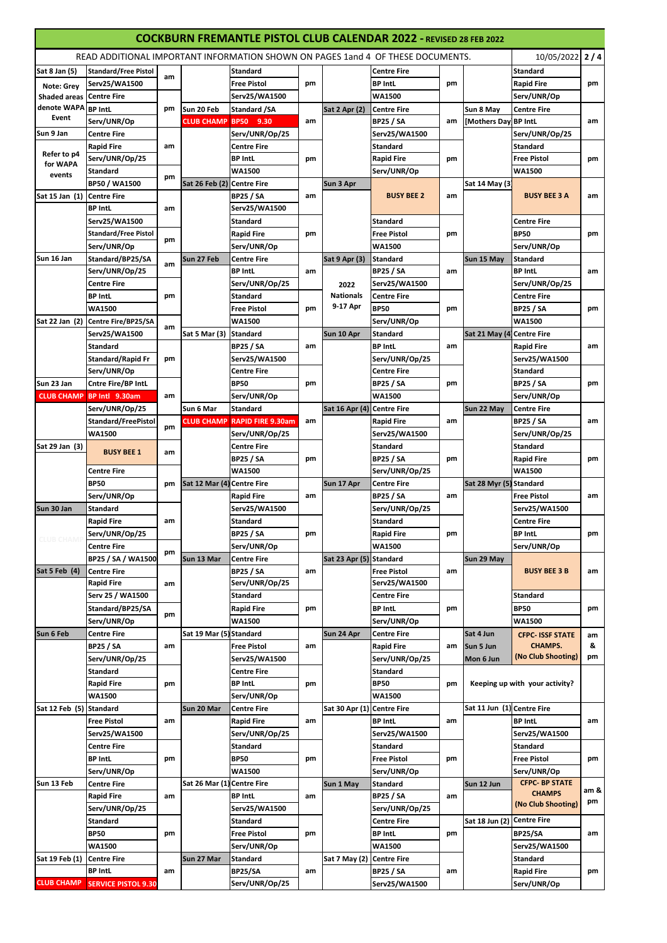| <b>COCKBURN FREMANTLE PISTOL CLUB CALENDAR 2022 - REVISED 28 FEB 2022</b>                         |                                         |    |                            |                                     |               |                            |                                     |                |                            |                                           |                    |                      |             |  |                |             |  |           |    |  |               |      |
|---------------------------------------------------------------------------------------------------|-----------------------------------------|----|----------------------------|-------------------------------------|---------------|----------------------------|-------------------------------------|----------------|----------------------------|-------------------------------------------|--------------------|----------------------|-------------|--|----------------|-------------|--|-----------|----|--|---------------|------|
| READ ADDITIONAL IMPORTANT INFORMATION SHOWN ON PAGES 1and 4 OF THESE DOCUMENTS.<br>10/05/2022 2/4 |                                         |    |                            |                                     |               |                            |                                     |                |                            |                                           |                    |                      |             |  |                |             |  |           |    |  |               |      |
| Sat 8 Jan (5)                                                                                     | <b>Standard/Free Pistol</b>             |    |                            | <b>Standard</b>                     |               |                            | <b>Centre Fire</b>                  |                |                            | <b>Standard</b>                           |                    |                      |             |  |                |             |  |           |    |  |               |      |
| Note: Grey                                                                                        | Serv25/WA1500                           | am |                            | <b>Free Pistol</b>                  | pm            |                            | <b>BP IntL</b>                      | pm             |                            | <b>Rapid Fire</b>                         | pm                 |                      |             |  |                |             |  |           |    |  |               |      |
| <b>Shaded areas Centre Fire</b>                                                                   |                                         |    |                            | Serv25/WA1500                       |               |                            | WA1500                              |                |                            | Serv/UNR/Op                               |                    |                      |             |  |                |             |  |           |    |  |               |      |
| denote WAPA BP IntL                                                                               |                                         | pm | Sun 20 Feb                 | Standard /SA                        |               | Sat 2 Apr (2)              | <b>Centre Fire</b>                  |                | Sun 8 May                  | <b>Centre Fire</b>                        |                    |                      |             |  |                |             |  |           |    |  |               |      |
| Event                                                                                             | Serv/UNR/Op                             |    | <b>CLUB CHAMP</b>          | BP50 9.30                           | am            |                            | <b>BP25 / SA</b>                    | am             | [Mothers Day]              | <b>BP IntL</b>                            | am                 |                      |             |  |                |             |  |           |    |  |               |      |
| Sun 9 Jan                                                                                         | <b>Centre Fire</b>                      |    |                            | Serv/UNR/Op/25                      |               |                            | Serv25/WA1500                       |                |                            | Serv/UNR/Op/25                            |                    |                      |             |  |                |             |  |           |    |  |               |      |
|                                                                                                   | <b>Rapid Fire</b>                       | am |                            | <b>Centre Fire</b>                  |               |                            | <b>Standard</b>                     |                |                            | <b>Standard</b>                           |                    |                      |             |  |                |             |  |           |    |  |               |      |
| Refer to p4                                                                                       | Serv/UNR/Op/25                          |    |                            | <b>BP IntL</b>                      | pm            |                            | <b>Rapid Fire</b>                   | pm             |                            | <b>Free Pistol</b>                        | pm                 |                      |             |  |                |             |  |           |    |  |               |      |
| for WAPA<br>events                                                                                | Standard                                |    |                            | <b>WA1500</b>                       |               |                            | Serv/UNR/Op                         |                |                            | <b>WA1500</b>                             |                    |                      |             |  |                |             |  |           |    |  |               |      |
|                                                                                                   | <b>BP50 / WA1500</b>                    | pm | Sat 26 Feb (2) Centre Fire |                                     |               | Sun 3 Apr                  |                                     |                | Sat 14 May (3              |                                           |                    |                      |             |  |                |             |  |           |    |  |               |      |
| Sat 15 Jan (1) Centre Fire                                                                        |                                         |    |                            | <b>BP25 / SA</b>                    | am            |                            | <b>BUSY BEE 2</b>                   | am             |                            | <b>BUSY BEE 3 A</b>                       | am                 |                      |             |  |                |             |  |           |    |  |               |      |
|                                                                                                   | <b>BP IntL</b>                          | am |                            | Serv25/WA1500                       |               |                            |                                     |                |                            |                                           |                    |                      |             |  |                |             |  |           |    |  |               |      |
|                                                                                                   | Serv25/WA1500                           |    |                            | <b>Standard</b>                     |               |                            | <b>Standard</b>                     |                |                            | <b>Centre Fire</b>                        |                    |                      |             |  |                |             |  |           |    |  |               |      |
|                                                                                                   | <b>Standard/Free Pistol</b>             | pm |                            | <b>Rapid Fire</b>                   | pm            |                            | <b>Free Pistol</b>                  | pm             |                            | <b>BP50</b>                               | pm                 |                      |             |  |                |             |  |           |    |  |               |      |
|                                                                                                   | Serv/UNR/Op                             |    |                            | Serv/UNR/Op                         |               |                            | <b>WA1500</b>                       |                |                            | Serv/UNR/Op                               |                    |                      |             |  |                |             |  |           |    |  |               |      |
| Sun 16 Jan                                                                                        | Standard/BP25/SA                        | am | Sun 27 Feb                 | <b>Centre Fire</b>                  |               | <b>Sat 9 Apr (3)</b>       | Standard                            |                | Sun 15 May                 | Standard                                  |                    |                      |             |  |                |             |  |           |    |  |               |      |
|                                                                                                   | Serv/UNR/Op/25                          |    |                            | <b>BP IntL</b>                      | am            |                            | <b>BP25 / SA</b>                    | am             |                            | <b>BP IntL</b>                            | am                 |                      |             |  |                |             |  |           |    |  |               |      |
|                                                                                                   | <b>Centre Fire</b>                      |    |                            | Serv/UNR/Op/25                      |               | 2022                       | Serv25/WA1500                       |                |                            | Serv/UNR/Op/25                            |                    |                      |             |  |                |             |  |           |    |  |               |      |
|                                                                                                   | <b>BP IntL</b>                          | pm |                            | <b>Standard</b>                     |               | <b>Nationals</b>           | <b>Centre Fire</b>                  |                |                            | <b>Centre Fire</b>                        |                    |                      |             |  |                |             |  |           |    |  |               |      |
|                                                                                                   | <b>WA1500</b>                           |    |                            | <b>Free Pistol</b>                  | pm            | 9-17 Apr                   | <b>BP50</b>                         | pm             |                            | <b>BP25 / SA</b>                          | pm                 |                      |             |  |                |             |  |           |    |  |               |      |
|                                                                                                   | Sat 22 Jan (2) Centre Fire/BP25/SA      | am |                            | <b>WA1500</b>                       |               |                            | Serv/UNR/Op                         |                |                            | <b>WA1500</b>                             |                    |                      |             |  |                |             |  |           |    |  |               |      |
|                                                                                                   | Serv25/WA1500                           |    | Sat 5 Mar (3)              | <b>Standard</b>                     |               | Sun 10 Apr                 | <b>Standard</b>                     |                | Sat 21 May (4) Centre Fire |                                           |                    |                      |             |  |                |             |  |           |    |  |               |      |
|                                                                                                   | Standard                                |    |                            | <b>BP25 / SA</b>                    | am            |                            | <b>BP IntL</b>                      | am             |                            | <b>Rapid Fire</b>                         | am                 |                      |             |  |                |             |  |           |    |  |               |      |
|                                                                                                   | <b>Standard/Rapid Fr</b>                | pm |                            | Serv25/WA1500                       |               |                            | Serv/UNR/Op/25                      |                |                            | Serv25/WA1500                             |                    |                      |             |  |                |             |  |           |    |  |               |      |
|                                                                                                   | Serv/UNR/Op                             |    |                            | <b>Centre Fire</b>                  |               |                            | <b>Centre Fire</b>                  |                |                            | Standard                                  |                    |                      |             |  |                |             |  |           |    |  |               |      |
| Sun 23 Jan                                                                                        | Cntre Fire/BP IntL                      |    |                            | <b>BP50</b>                         | pm            |                            | <b>BP25 / SA</b>                    | pm             |                            | <b>BP25 / SA</b>                          | pm                 |                      |             |  |                |             |  |           |    |  |               |      |
| <b>CLUB CHAMP</b>                                                                                 | BP Intl 9.30am                          | am |                            | Serv/UNR/Op                         |               |                            | <b>WA1500</b>                       |                |                            | Serv/UNR/Op                               |                    |                      |             |  |                |             |  |           |    |  |               |      |
|                                                                                                   | Serv/UNR/Op/25                          |    | Sun 6 Mar                  | Standard                            |               | Sat 16 Apr (4) Centre Fire |                                     |                | Sun 22 May                 | <b>Centre Fire</b>                        |                    |                      |             |  |                |             |  |           |    |  |               |      |
|                                                                                                   | Standard/FreePistol                     | pm |                            | <b>CLUB CHAMP RAPID FIRE 9.30am</b> | am            |                            | <b>Rapid Fire</b>                   | am             |                            | <b>BP25 / SA</b>                          | am                 |                      |             |  |                |             |  |           |    |  |               |      |
|                                                                                                   | <b>WA1500</b>                           |    |                            | Serv/UNR/Op/25                      |               |                            | Serv25/WA1500                       |                |                            | Serv/UNR/Op/25                            |                    |                      |             |  |                |             |  |           |    |  |               |      |
| Sat 29 Jan (3)                                                                                    | <b>BUSY BEE 1</b>                       | am |                            | <b>Centre Fire</b>                  |               |                            | Standard                            |                |                            | <b>Standard</b>                           |                    |                      |             |  |                |             |  |           |    |  |               |      |
|                                                                                                   |                                         |    |                            | <b>BP25 / SA</b>                    | pm            |                            | <b>BP25 / SA</b>                    | pm             |                            | <b>Rapid Fire</b>                         | pm                 |                      |             |  |                |             |  |           |    |  |               |      |
|                                                                                                   | <b>Centre Fire</b>                      |    |                            | <b>WA1500</b>                       |               |                            | Serv/UNR/Op/25                      |                |                            | <b>WA1500</b>                             |                    |                      |             |  |                |             |  |           |    |  |               |      |
|                                                                                                   | <b>BP50</b>                             | pm | <b>Sat 12 Mar (4)</b>      | Centre Fire (                       |               | Sun 17 Apr                 | Centre Fire                         |                | Sat 28 Myr (5) Standard    |                                           |                    |                      |             |  |                |             |  |           |    |  |               |      |
|                                                                                                   | Serv/UNR/Op                             |    |                            | <b>Rapid Fire</b>                   | am            |                            | <b>BP25 / SA</b>                    | am             |                            | <b>Free Pistol</b>                        | am                 |                      |             |  |                |             |  |           |    |  |               |      |
| Sun 30 Jan                                                                                        | <b>Standard</b>                         |    |                            | Serv25/WA1500                       |               |                            | Serv/UNR/Op/25                      |                |                            | Serv25/WA1500                             |                    |                      |             |  |                |             |  |           |    |  |               |      |
|                                                                                                   | <b>Rapid Fire</b>                       | am |                            | Standard                            |               |                            | Standard                            |                |                            | <b>Centre Fire</b>                        |                    |                      |             |  |                |             |  |           |    |  |               |      |
| <b>CLUB CHAMI</b>                                                                                 | Serv/UNR/Op/25                          |    |                            | <b>BP25 / SA</b>                    | pm            |                            | <b>Rapid Fire</b>                   | pm             |                            | BP Intl.                                  | pm                 |                      |             |  |                |             |  |           |    |  |               |      |
|                                                                                                   | <b>Centre Fire</b>                      | pm |                            | Serv/UNR/Op                         |               |                            | <b>WA1500</b>                       |                |                            | Serv/UNR/Op                               |                    |                      |             |  |                |             |  |           |    |  |               |      |
|                                                                                                   | BP25 / SA / WA1500                      |    | Sun 13 Mar                 | <b>Centre Fire</b>                  |               | Sat 23 Apr (5) Standard    |                                     |                | Sun 29 May                 | <b>BUSY BEE 3 B</b>                       |                    |                      |             |  |                |             |  |           |    |  |               |      |
| Sat 5 Feb (4)                                                                                     | <b>Centre Fire</b><br><b>Rapid Fire</b> |    |                            | <b>BP25 / SA</b><br>Serv/UNR/Op/25  | am            |                            | <b>Free Pistol</b><br>Serv25/WA1500 | am             |                            |                                           | am                 |                      |             |  |                |             |  |           |    |  |               |      |
|                                                                                                   | Serv 25 / WA1500                        | am |                            | Standard                            |               |                            | Centre Fire                         |                |                            | Standard                                  |                    |                      |             |  |                |             |  |           |    |  |               |      |
|                                                                                                   | Standard/BP25/SA                        |    |                            |                                     | pm            |                            | <b>BP IntL</b>                      |                |                            | <b>BP50</b>                               | pm                 |                      |             |  |                |             |  |           |    |  |               |      |
|                                                                                                   | Serv/UNR/Op                             | pm |                            | <b>Rapid Fire</b><br><b>WA1500</b>  |               |                            | Serv/UNR/Op                         | pm             |                            | <b>WA1500</b>                             |                    |                      |             |  |                |             |  |           |    |  |               |      |
|                                                                                                   |                                         |    |                            |                                     |               |                            | <b>Centre Fire</b>                  |                |                            |                                           |                    |                      |             |  |                |             |  |           |    |  |               |      |
| Sun 6 Feb                                                                                         | Centre Fire<br><b>BP25 / SA</b>         |    | Sat 19 Mar (5) Standard    | <b>Free Pistol</b>                  | am            | Sun 24 Apr                 | <b>Rapid Fire</b>                   | am             | Sat 4 Jun<br>Sun 5 Jun     | <b>CFPC- ISSF STATE</b><br><b>CHAMPS.</b> | am<br>&            |                      |             |  |                |             |  |           |    |  |               |      |
|                                                                                                   | Serv/UNR/Op/25                          | am |                            |                                     | Serv25/WA1500 |                            |                                     | Serv/UNR/Op/25 |                            | Mon 6 Jun                                 | (No Club Shooting) | pm                   |             |  |                |             |  |           |    |  |               |      |
|                                                                                                   | Standard                                |    |                            | Centre Fire                         |               |                            | Standard                            |                |                            |                                           |                    |                      |             |  |                |             |  |           |    |  |               |      |
|                                                                                                   | <b>Rapid Fire</b>                       | pm |                            | <b>BP IntL</b>                      | pm            |                            | <b>BP50</b>                         | pm             |                            | Keeping up with your activity?            |                    |                      |             |  |                |             |  |           |    |  |               |      |
|                                                                                                   | <b>WA1500</b>                           |    |                            | Serv/UNR/Op                         |               |                            | <b>WA1500</b>                       |                |                            |                                           |                    |                      |             |  |                |             |  |           |    |  |               |      |
| Sat 12 Feb (5)                                                                                    | Standard                                |    | Sun 20 Mar                 | Centre Fire                         |               | Sat 30 Apr (1)             | <b>Centre Fire</b>                  |                | Sat 11 Jun (1) Centre Fire |                                           |                    |                      |             |  |                |             |  |           |    |  |               |      |
|                                                                                                   | <b>Free Pistol</b>                      | am |                            | <b>Rapid Fire</b>                   | am            |                            | <b>BP IntL</b>                      | am             |                            | <b>BP Intl.</b>                           | am                 |                      |             |  |                |             |  |           |    |  |               |      |
|                                                                                                   | Serv25/WA1500                           |    |                            | Serv/UNR/Op/25                      |               |                            | Serv25/WA1500                       |                |                            | Serv25/WA1500                             |                    |                      |             |  |                |             |  |           |    |  |               |      |
|                                                                                                   | <b>Centre Fire</b>                      |    |                            | Standard                            |               |                            | Standard                            |                |                            | Standard                                  |                    |                      |             |  |                |             |  |           |    |  |               |      |
|                                                                                                   | <b>BP IntL</b>                          | pm |                            | <b>BP50</b>                         | pm            |                            | <b>Free Pistol</b>                  | pm             |                            | <b>Free Pistol</b>                        | pm                 |                      |             |  |                |             |  |           |    |  |               |      |
|                                                                                                   | Serv/UNR/Op                             |    |                            |                                     |               |                            |                                     |                |                            | <b>WA1500</b>                             |                    |                      | Serv/UNR/Op |  |                | Serv/UNR/Op |  |           |    |  |               |      |
| Sun 13 Feb                                                                                        | Centre Fire                             |    |                            |                                     | Sat 26 Mar (1 | <b>Centre Fire</b>         |                                     | Sun 1 May      | Standard                   |                                           | Sun 12 Jun         | <b>CFPC-BP STATE</b> |             |  |                |             |  |           |    |  |               |      |
|                                                                                                   | <b>Rapid Fire</b>                       | am |                            |                                     |               |                            |                                     |                |                            |                                           |                    |                      |             |  | <b>BP IntL</b> | am          |  | BP25 / SA | am |  | <b>CHAMPS</b> | am & |
|                                                                                                   | Serv/UNR/Op/25                          |    |                            | Serv25/WA1500                       |               |                            | Serv/UNR/Op/25                      |                |                            | (No Club Shooting)                        | pm                 |                      |             |  |                |             |  |           |    |  |               |      |
|                                                                                                   | Standard                                |    |                            | Standard                            |               |                            | <b>Centre Fire</b>                  |                | Sat 18 Jun (2)             | <b>Centre Fire</b>                        |                    |                      |             |  |                |             |  |           |    |  |               |      |
|                                                                                                   | <b>BP50</b>                             | pm |                            | <b>Free Pistol</b>                  | pm            |                            | <b>BP IntL</b>                      | pm             |                            | <b>BP25/SA</b>                            | am                 |                      |             |  |                |             |  |           |    |  |               |      |
|                                                                                                   | <b>WA1500</b>                           |    |                            | Serv/UNR/Op                         |               |                            | WA1500                              |                |                            | Serv25/WA1500                             |                    |                      |             |  |                |             |  |           |    |  |               |      |
| Sat 19 Feb (1)                                                                                    | <b>Centre Fire</b>                      |    | Sun 27 Mar                 | Standard                            |               | Sat 7 May (2)              | <b>Centre Fire</b>                  |                |                            | Standard                                  |                    |                      |             |  |                |             |  |           |    |  |               |      |
|                                                                                                   | <b>BP Intl.</b>                         | am |                            | <b>BP25/SA</b>                      | am            |                            | <b>BP25 / SA</b>                    | am             |                            | <b>Rapid Fire</b>                         | pm                 |                      |             |  |                |             |  |           |    |  |               |      |
| <b>CLUB CHAMP</b>                                                                                 | <b>SERVICE PISTOL 9.30</b>              |    |                            | Serv/UNR/Op/25                      |               |                            | Serv25/WA1500                       |                |                            | Serv/UNR/Op                               |                    |                      |             |  |                |             |  |           |    |  |               |      |
|                                                                                                   |                                         |    |                            |                                     |               |                            |                                     |                |                            |                                           |                    |                      |             |  |                |             |  |           |    |  |               |      |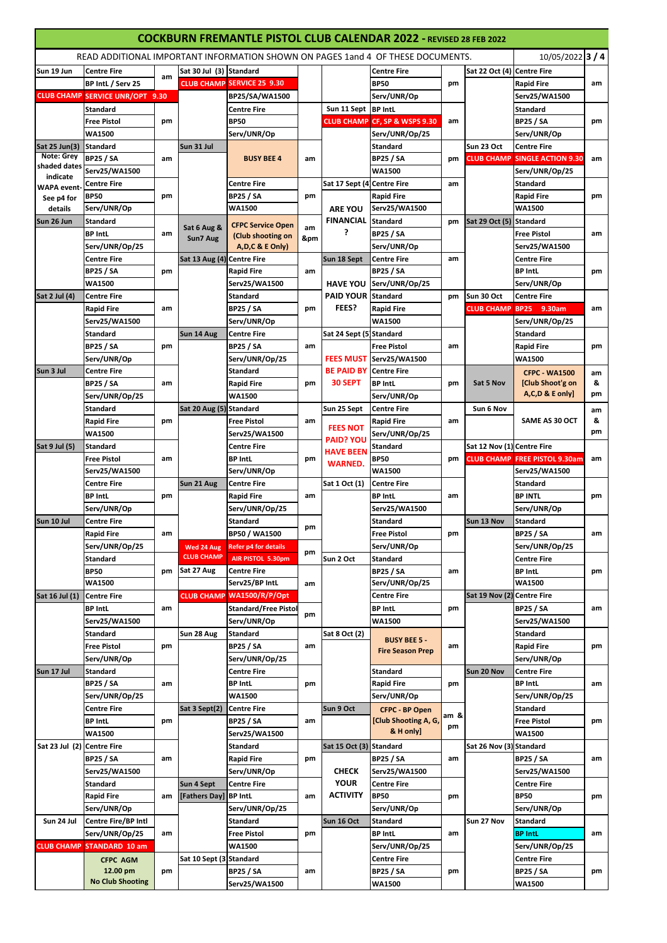| <b>COCKBURN FREMANTLE PISTOL CLUB CALENDAR 2022 - REVISED 28 FEB 2022</b> |                                        |    |                            |                                   |         |                            |                                                                                 |      |                            |                                      |    |
|---------------------------------------------------------------------------|----------------------------------------|----|----------------------------|-----------------------------------|---------|----------------------------|---------------------------------------------------------------------------------|------|----------------------------|--------------------------------------|----|
|                                                                           |                                        |    |                            |                                   |         |                            | READ ADDITIONAL IMPORTANT INFORMATION SHOWN ON PAGES 1and 4 OF THESE DOCUMENTS. |      |                            | 10/05/2022 3 / 4                     |    |
| Sun 19 Jun                                                                | <b>Centre Fire</b>                     |    | Sat 30 Jul (3) Standard    |                                   |         |                            | <b>Centre Fire</b>                                                              |      | Sat 22 Oct (4)             | <b>Centre Fire</b>                   |    |
|                                                                           | BP Intl. / Serv 25                     | am |                            | <b>CLUB CHAMP SERVICE 25 9.30</b> |         |                            | <b>BP50</b>                                                                     | pm   |                            | <b>Rapid Fire</b>                    | am |
|                                                                           | <b>CLUB CHAMP SERVICE UNR/OPT 9.30</b> |    |                            | BP25/SA/WA1500                    |         |                            | Serv/UNR/Op                                                                     |      |                            | Serv25/WA1500                        |    |
|                                                                           | <b>Standard</b>                        |    |                            | <b>Centre Fire</b>                |         | Sun 11 Sept BP IntL        |                                                                                 |      |                            | <b>Standard</b>                      |    |
|                                                                           | <b>Free Pistol</b>                     | pm |                            | <b>BP50</b>                       |         |                            | <b>CLUB CHAMP CF, SP &amp; WSPS 9.30</b>                                        | am   |                            | <b>BP25 / SA</b>                     | pm |
|                                                                           | <b>WA1500</b>                          |    |                            | Serv/UNR/Op                       |         |                            | Serv/UNR/Op/25                                                                  |      |                            | Serv/UNR/Op                          |    |
| Sat 25 Jun(3)                                                             | <b>Standard</b>                        |    | Sun 31 Jul                 |                                   |         |                            | Standard                                                                        |      | Sun 23 Oct                 | <b>Centre Fire</b>                   |    |
| <b>Note: Grey</b>                                                         | <b>BP25 / SA</b>                       | am |                            | <b>BUSY BEE 4</b>                 | am      |                            | <b>BP25 / SA</b>                                                                | pm   | <b>CLUB CHAMP</b>          | <b>SINGLE ACTION 9.30</b>            | am |
| shaded dates                                                              | Serv25/WA1500                          |    |                            |                                   |         |                            | <b>WA1500</b>                                                                   |      |                            | Serv/UNR/Op/25                       |    |
| indicate<br><b>WAPA</b> event-                                            | <b>Centre Fire</b>                     |    |                            | <b>Centre Fire</b>                |         | Sat 17 Sept (4 Centre Fire |                                                                                 | am   |                            | <b>Standard</b>                      |    |
| See p4 for                                                                | <b>BP50</b>                            | pm |                            | <b>BP25 / SA</b>                  | pm      |                            | <b>Rapid Fire</b>                                                               |      |                            | <b>Rapid Fire</b>                    | pm |
| details                                                                   | Serv/UNR/Op                            |    |                            | <b>WA1500</b>                     |         | <b>ARE YOU</b>             | Serv25/WA1500                                                                   |      |                            | <b>WA1500</b>                        |    |
| Sun 26 Jun                                                                | <b>Standard</b>                        |    |                            | <b>CFPC Service Open</b>          |         | <b>FINANCIAL</b>           | <b>Standard</b>                                                                 | pm   | Sat 29 Oct (5) Standard    |                                      |    |
|                                                                           | <b>BP IntL</b>                         | am | Sat 6 Aug &<br>Sun7 Aug    | (Club shooting on                 | am<br>± | ?                          | <b>BP25 / SA</b>                                                                |      |                            | <b>Free Pistol</b>                   | am |
|                                                                           | Serv/UNR/Op/25                         |    |                            | A, D, C & E Only)                 |         |                            | Serv/UNR/Op                                                                     |      |                            | Serv25/WA1500                        |    |
|                                                                           | <b>Centre Fire</b>                     |    | Sat 13 Aug (4) Centre Fire |                                   |         | Sun 18 Sept                | <b>Centre Fire</b>                                                              | am   |                            | <b>Centre Fire</b>                   |    |
|                                                                           | <b>BP25 / SA</b>                       | pm |                            | <b>Rapid Fire</b>                 | am      |                            | <b>BP25 / SA</b>                                                                |      |                            | <b>BP IntL</b>                       | pm |
|                                                                           | <b>WA1500</b>                          |    |                            | Serv25/WA1500                     |         |                            | HAVE YOU Serv/UNR/Op/25                                                         |      |                            | Serv/UNR/Op                          |    |
| Sat 2 Jul (4)                                                             | <b>Centre Fire</b>                     |    |                            | <b>Standard</b>                   |         | <b>PAID YOUR Standard</b>  |                                                                                 | pm   | Sun 30 Oct                 | <b>Centre Fire</b>                   |    |
|                                                                           | <b>Rapid Fire</b>                      | am |                            | <b>BP25 / SA</b>                  | pm      | FEES?                      | <b>Rapid Fire</b>                                                               |      | <b>CLUB CHAMP</b>          | <b>BP25</b><br>9.30am                | am |
|                                                                           | Serv25/WA1500                          |    |                            | Serv/UNR/Op                       |         |                            | WA1500                                                                          |      |                            | Serv/UNR/Op/25                       |    |
|                                                                           | <b>Standard</b>                        |    | Sun 14 Aug                 | <b>Centre Fire</b>                |         | Sat 24 Sept (5) Standard   |                                                                                 |      |                            | Standard                             |    |
|                                                                           | <b>BP25 / SA</b>                       | pm |                            | <b>BP25 / SA</b>                  | am      |                            | <b>Free Pistol</b>                                                              | am   |                            | <b>Rapid Fire</b>                    | pm |
|                                                                           | Serv/UNR/Op                            |    |                            | Serv/UNR/Op/25                    |         | FEES MUST                  | Serv25/WA1500                                                                   |      |                            | <b>WA1500</b>                        |    |
| Sun 3 Jul                                                                 | <b>Centre Fire</b>                     |    |                            | <b>Standard</b>                   |         | <b>BE PAID BY</b>          | <b>Centre Fire</b>                                                              |      |                            | <b>CFPC - WA1500</b>                 | am |
|                                                                           | <b>BP25 / SA</b>                       | am |                            | <b>Rapid Fire</b>                 | pm      | 30 SEPT                    | <b>BP IntL</b>                                                                  | pm   | Sat 5 Nov                  | [Club Shoot'g on                     | &  |
|                                                                           | Serv/UNR/Op/25                         |    |                            | <b>WA1500</b>                     |         |                            | Serv/UNR/Op                                                                     |      |                            | A,C,D & E only]                      | pm |
|                                                                           | <b>Standard</b>                        |    | Sat 20 Aug (5) Standard    |                                   |         | Sun 25 Sept                | <b>Centre Fire</b>                                                              |      | Sun 6 Nov                  |                                      | am |
|                                                                           | <b>Rapid Fire</b>                      | pm |                            | <b>Free Pistol</b>                | am      | <b>FEES NOT</b>            | <b>Rapid Fire</b>                                                               | am   |                            | SAME AS 30 OCT                       | &  |
|                                                                           | <b>WA1500</b>                          |    |                            | Serv25/WA1500                     |         | <b>PAID? YOU</b>           | Serv/UNR/Op/25                                                                  |      |                            |                                      | pm |
| Sat 9 Jul (5)                                                             | <b>Standard</b>                        |    |                            | <b>Centre Fire</b>                |         | <b>HAVE BEEN</b>           | Standard                                                                        |      | Sat 12 Nov (1) Centre Fire |                                      |    |
|                                                                           | <b>Free Pistol</b>                     | am |                            | <b>BP IntL</b>                    | pm      | <b>WARNED.</b>             | <b>BP50</b>                                                                     | pm   |                            | <b>CLUB CHAMP FREE PISTOL 9.30am</b> | am |
|                                                                           | Serv25/WA1500                          |    |                            | Serv/UNR/Op                       |         |                            | WA1500                                                                          |      |                            | Serv25/WA1500                        |    |
|                                                                           | <b>Centre Fire</b>                     |    | Sun 21 Aug                 | <b>Centre Fire</b>                |         | Sat 1 Oct (1)              | <b>Centre Fire</b>                                                              |      |                            | <b>Standard</b>                      |    |
|                                                                           | <b>BP IntL</b>                         | pm |                            | <b>Rapid Fire</b>                 | am      |                            | <b>BP IntL</b>                                                                  | am   |                            | <b>BP INTL</b>                       | pm |
|                                                                           | Serv/UNR/Op                            |    |                            | Serv/UNR/Op/25                    |         |                            | Serv25/WA1500                                                                   |      |                            | Serv/UNR/Op                          |    |
| Sun 10 Jul                                                                | Centre Fire                            |    |                            | <b>Standard</b>                   | pm      |                            | Standard                                                                        |      | Sun 13 Nov                 | Standard                             |    |
|                                                                           | <b>Rapid Fire</b>                      | am |                            | BP50 / WA1500                     |         |                            | <b>Free Pistol</b>                                                              | pm   |                            | <b>BP25 / SA</b>                     | am |
|                                                                           | Serv/UNR/Op/25                         |    | Wed 24 Aug                 | <b>Refer p4 for details</b>       | pm      |                            | Serv/UNR/Op                                                                     |      |                            | Serv/UNR/Op/25                       |    |
|                                                                           | <b>Standard</b>                        |    | <b>CLUB CHAMP</b>          | AIR PISTOL 5.30pm                 |         | Sun 2 Oct                  | <b>Standard</b>                                                                 |      |                            | <b>Centre Fire</b>                   |    |
|                                                                           | <b>BP50</b>                            | pm | Sat 27 Aug                 | <b>Centre Fire</b>                |         |                            | BP25 / SA                                                                       | am   |                            | <b>BP IntL</b>                       | pm |
|                                                                           | <b>WA1500</b>                          |    |                            | Serv25/BP IntL                    | am      |                            | Serv/UNR/Op/25                                                                  |      |                            | <b>WA1500</b>                        |    |
| Sat 16 Jul (1)                                                            | <b>Centre Fire</b>                     |    |                            | CLUB CHAMP WA1500/R/P/Opt         |         |                            | <b>Centre Fire</b>                                                              |      | Sat 19 Nov (2) Centre Fire |                                      |    |
|                                                                           | <b>BP IntL</b>                         | am |                            | <b>Standard/Free Pistol</b>       | pm      |                            | <b>BP IntL</b>                                                                  | pm   |                            | <b>BP25 / SA</b>                     | am |
|                                                                           | Serv25/WA1500                          |    |                            | Serv/UNR/Op                       |         |                            | WA1500                                                                          |      |                            | Serv25/WA1500                        |    |
|                                                                           | <b>Standard</b>                        |    | Sun 28 Aug                 | <b>Standard</b>                   |         | Sat 8 Oct (2)              | <b>BUSY BEE 5 -</b>                                                             |      |                            | Standard                             |    |
|                                                                           | <b>Free Pistol</b>                     | pm |                            | <b>BP25 / SA</b>                  | am      |                            | <b>Fire Season Prep</b>                                                         | am   |                            | <b>Rapid Fire</b>                    | pm |
|                                                                           | Serv/UNR/Op                            |    |                            | Serv/UNR/Op/25                    |         |                            |                                                                                 |      |                            | Serv/UNR/Op                          |    |
| Sun 17 Jul                                                                | <b>Standard</b>                        |    |                            | Centre Fire                       |         |                            | <b>Standard</b>                                                                 |      | Sun 20 Nov                 | <b>Centre Fire</b>                   |    |
|                                                                           | <b>BP25 / SA</b>                       | am |                            | <b>BP</b> IntL                    | pm      |                            | <b>Rapid Fire</b>                                                               | pm   |                            | <b>BP IntL</b>                       | am |
|                                                                           | Serv/UNR/Op/25                         |    |                            | WA1500                            |         |                            | Serv/UNR/Op                                                                     |      |                            | Serv/UNR/Op/25                       |    |
|                                                                           | <b>Centre Fire</b>                     |    | Sat 3 Sept(2)              | <b>Centre Fire</b>                |         | Sun 9 Oct                  | CFPC - BP Open                                                                  | am & |                            | Standard                             |    |
|                                                                           | <b>BP IntL</b>                         | pm |                            | <b>BP25 / SA</b>                  | am      |                            | [Club Shooting A, G,                                                            | pm   |                            | <b>Free Pistol</b>                   | pm |
|                                                                           | <b>WA1500</b>                          |    |                            | Serv25/WA1500                     |         |                            | & H only]                                                                       |      |                            | <b>WA1500</b>                        |    |
| Sat 23 Jul (2) Centre Fire                                                |                                        |    |                            | Standard                          |         | Sat 15 Oct (3) Standard    |                                                                                 |      | Sat 26 Nov (3) Standard    |                                      |    |
|                                                                           | <b>BP25 / SA</b>                       | am |                            | <b>Rapid Fire</b>                 | pm      |                            | <b>BP25 / SA</b>                                                                | am   |                            | <b>BP25 / SA</b>                     | am |
|                                                                           | Serv25/WA1500                          |    |                            | Serv/UNR/Op                       |         | <b>CHECK</b>               | Serv25/WA1500                                                                   |      |                            | Serv25/WA1500                        |    |
|                                                                           | <b>Standard</b>                        |    | Sun 4 Sept                 | <b>Centre Fire</b>                |         | <b>YOUR</b>                | Centre Fire                                                                     |      |                            | <b>Centre Fire</b>                   |    |
|                                                                           | <b>Rapid Fire</b>                      | am | [Fathers Day]              | <b>BP</b> Intl.                   | am      | ACTIVITY                   | <b>BP50</b>                                                                     | pm   |                            | <b>BP50</b>                          | pm |
|                                                                           | Serv/UNR/Op                            |    |                            | Serv/UNR/Op/25                    |         |                            | Serv/UNR/Op                                                                     |      |                            | Serv/UNR/Op                          |    |
| Sun 24 Jul                                                                | Centre Fire/BP Intl                    |    |                            | Standard                          |         | Sun 16 Oct                 | Standard                                                                        |      | Sun 27 Nov                 | Standard                             |    |
|                                                                           | Serv/UNR/Op/25                         | am |                            | <b>Free Pistol</b>                | pm      |                            | <b>BP IntL</b>                                                                  | am   |                            | <b>BP IntL</b>                       | am |
|                                                                           | <b>CLUB CHAMP STANDARD 10 am</b>       |    |                            | <b>WA1500</b>                     |         |                            | Serv/UNR/Op/25                                                                  |      |                            | Serv/UNR/Op/25                       |    |
|                                                                           | <b>CFPC AGM</b>                        |    | Sat 10 Sept (3) Standard   |                                   |         |                            | <b>Centre Fire</b>                                                              |      |                            | <b>Centre Fire</b>                   |    |
|                                                                           | 12.00 pm                               | pm |                            | <b>BP25 / SA</b>                  | am      |                            | <b>BP25 / SA</b>                                                                | pm   |                            | BP25 / SA                            | pm |
|                                                                           | <b>No Club Shooting</b>                |    |                            | Serv25/WA1500                     |         |                            | <b>WA1500</b>                                                                   |      |                            | <b>WA1500</b>                        |    |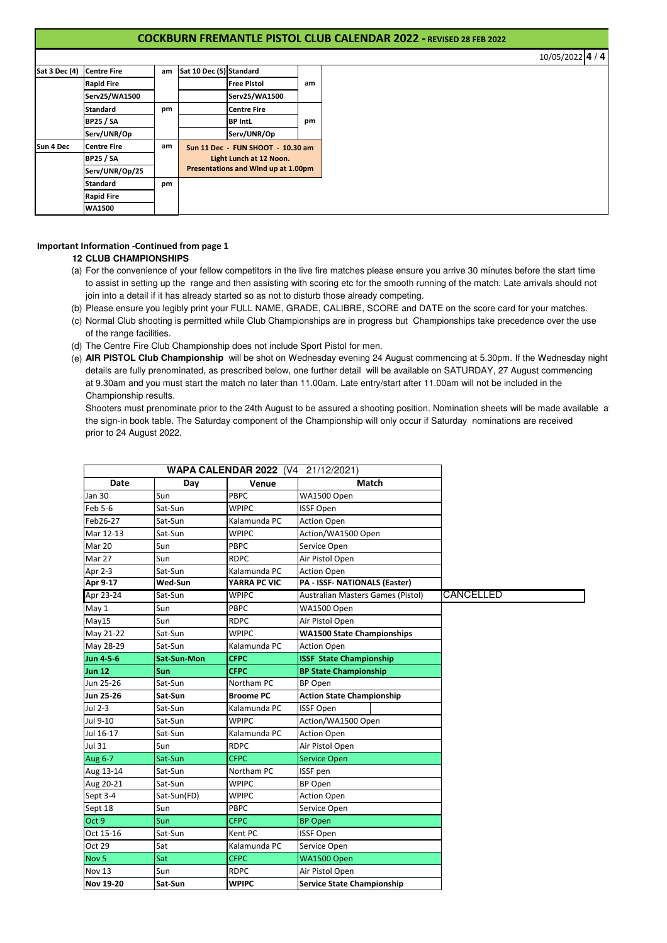# **COCKBURN FREMANTLE PISTOL CLUB CALENDAR 2022 - REVISED 28 FEB 2022**

10/05/2022 **4 / 4**

| Sat 3 Dec (4) | <b>Centre Fire</b> | am | Sat 10 Dec (5) Standard |                                     |    |
|---------------|--------------------|----|-------------------------|-------------------------------------|----|
|               | <b>Rapid Fire</b>  |    |                         | <b>Free Pistol</b>                  | am |
|               | Serv25/WA1500      |    |                         | Serv25/WA1500                       |    |
|               | <b>Standard</b>    | pm |                         | <b>Centre Fire</b>                  |    |
|               | <b>BP25 / SA</b>   |    |                         | <b>BP IntL</b>                      | pm |
|               | Serv/UNR/Op        |    |                         | Serv/UNR/Op                         |    |
| Sun 4 Dec     | <b>Centre Fire</b> | am |                         | Sun 11 Dec - FUN SHOOT - 10.30 am   |    |
|               | <b>BP25 / SA</b>   |    | Light Lunch at 12 Noon. |                                     |    |
|               | Serv/UNR/Op/25     |    |                         | Presentations and Wind up at 1.00pm |    |
|               | <b>Standard</b>    | pm |                         |                                     |    |
|               | <b>Rapid Fire</b>  |    |                         |                                     |    |
|               | <b>WA1500</b>      |    |                         |                                     |    |

# **Important Information -Continued from page 1**

### **12 CLUB CHAMPIONSHIPS**

- (a) For the convenience of your fellow competitors in the live fire matches please ensure you arrive 30 minutes before the start time to assist in setting up the range and then assisting with scoring etc for the smooth running of the match. Late arrivals should not join into a detail if it has already started so as not to disturb those already competing.
- (b) Please ensure you legibly print your FULL NAME, GRADE, CALIBRE, SCORE and DATE on the score card for your matches.
- (c) Normal Club shooting is permitted while Club Championships are in progress but Championships take precedence over the use of the range facilities.
- (d) The Centre Fire Club Championship does not include Sport Pistol for men.
- (e) **AIR PISTOL Club Championship** will be shot on Wednesday evening 24 August commencing at 5.30pm. If the Wednesday night details are fully prenominated, as prescribed below, one further detail will be available on SATURDAY, 27 August commencing at 9.30am and you must start the match no later than 11.00am. Late entry/start after 11.00am will not be included in the Championship results.

Shooters must prenominate prior to the 24th August to be assured a shooting position. Nomination sheets will be made available at the sign-in book table. The Saturday component of the Championship will only occur if Saturday nominations are received prior to 24 August 2022.

|                  |                    | WAPA CALENDAR 2022 (V4 21/12/2021) |                                      |           |
|------------------|--------------------|------------------------------------|--------------------------------------|-----------|
| Date             | Day                | Venue                              | Match                                |           |
| <b>Jan 30</b>    | Sun                | PBPC                               | WA1500 Open                          |           |
| Feb 5-6          | Sat-Sun            | <b>WPIPC</b>                       | <b>ISSF Open</b>                     |           |
| Feb26-27         | Sat-Sun            | Kalamunda PC                       | <b>Action Open</b>                   |           |
| Mar 12-13        | Sat-Sun            | <b>WPIPC</b>                       | Action/WA1500 Open                   |           |
| Mar 20           | Sun                | <b>PBPC</b>                        | Service Open                         |           |
| Mar 27           | Sun                | <b>RDPC</b>                        | Air Pistol Open                      |           |
| Apr 2-3          | Sat-Sun            | Kalamunda PC                       | <b>Action Open</b>                   |           |
| Apr 9-17         | Wed-Sun            | YARRA PC VIC                       | <b>PA - ISSF- NATIONALS (Easter)</b> |           |
| Apr 23-24        | Sat-Sun            | <b>WPIPC</b>                       | Australian Masters Games (Pistol)    | CANCELLED |
| May 1            | Sun                | <b>PBPC</b>                        | WA1500 Open                          |           |
| May15            | Sun                | <b>RDPC</b>                        | Air Pistol Open                      |           |
| May 21-22        | Sat-Sun            | <b>WPIPC</b>                       | <b>WA1500 State Championships</b>    |           |
| May 28-29        | Sat-Sun            | Kalamunda PC                       | <b>Action Open</b>                   |           |
| Jun 4-5-6        | <b>Sat-Sun-Mon</b> | <b>CFPC</b>                        | <b>ISSF State Championship</b>       |           |
| <b>Jun 12</b>    | Sun                | <b>CFPC</b>                        | <b>BP State Championship</b>         |           |
| Jun 25-26        | Sat-Sun            | Northam PC                         | <b>BP Open</b>                       |           |
| Jun 25-26        | Sat-Sun            | <b>Broome PC</b>                   | <b>Action State Championship</b>     |           |
| Jul 2-3          | Sat-Sun            | Kalamunda PC                       | <b>ISSF Open</b>                     |           |
| Jul 9-10         | Sat-Sun            | <b>WPIPC</b>                       | Action/WA1500 Open                   |           |
| Jul 16-17        | Sat-Sun            | Kalamunda PC                       | <b>Action Open</b>                   |           |
| Jul 31           | Sun                | <b>RDPC</b>                        | Air Pistol Open                      |           |
| Aug 6-7          | Sat-Sun            | <b>CFPC</b>                        | <b>Service Open</b>                  |           |
| Aug 13-14        | Sat-Sun            | Northam PC                         | ISSF pen                             |           |
| Aug 20-21        | Sat-Sun            | <b>WPIPC</b>                       | <b>BP Open</b>                       |           |
| Sept 3-4         | Sat-Sun(FD)        | <b>WPIPC</b>                       | <b>Action Open</b>                   |           |
| Sept 18          | Sun                | <b>PBPC</b>                        | Service Open                         |           |
| Oct 9            | Sun                | <b>CFPC</b>                        | <b>BP Open</b>                       |           |
| Oct 15-16        | Sat-Sun            | Kent PC                            | <b>ISSF Open</b>                     |           |
| Oct 29           | Sat                | Kalamunda PC                       | Service Open                         |           |
| Nov <sub>5</sub> | Sat                | <b>CFPC</b>                        | WA1500 Open                          |           |
| Nov 13           | Sun                | <b>RDPC</b>                        | Air Pistol Open                      |           |
| <b>Nov 19-20</b> | Sat-Sun            | <b>WPIPC</b>                       | <b>Service State Championship</b>    |           |